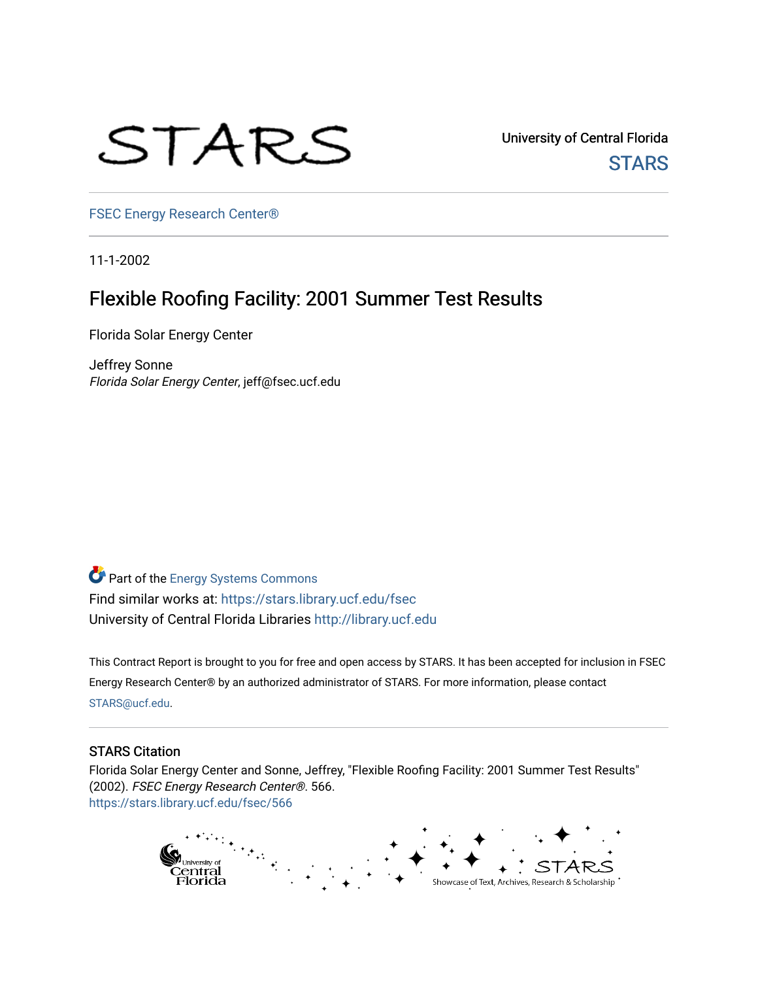# STARS

University of Central Florida **STARS** 

[FSEC Energy Research Center®](https://stars.library.ucf.edu/fsec) 

11-1-2002

# Flexible Roofing Facility: 2001 Summer Test Results

Florida Solar Energy Center

Jeffrey Sonne Florida Solar Energy Center, jeff@fsec.ucf.edu

Part of the [Energy Systems Commons](http://network.bepress.com/hgg/discipline/299?utm_source=stars.library.ucf.edu%2Ffsec%2F566&utm_medium=PDF&utm_campaign=PDFCoverPages)  Find similar works at: <https://stars.library.ucf.edu/fsec> University of Central Florida Libraries [http://library.ucf.edu](http://library.ucf.edu/) 

This Contract Report is brought to you for free and open access by STARS. It has been accepted for inclusion in FSEC Energy Research Center® by an authorized administrator of STARS. For more information, please contact [STARS@ucf.edu](mailto:STARS@ucf.edu).

#### STARS Citation

Florida Solar Energy Center and Sonne, Jeffrey, "Flexible Roofing Facility: 2001 Summer Test Results" (2002). FSEC Energy Research Center®. 566. [https://stars.library.ucf.edu/fsec/566](https://stars.library.ucf.edu/fsec/566?utm_source=stars.library.ucf.edu%2Ffsec%2F566&utm_medium=PDF&utm_campaign=PDFCoverPages)

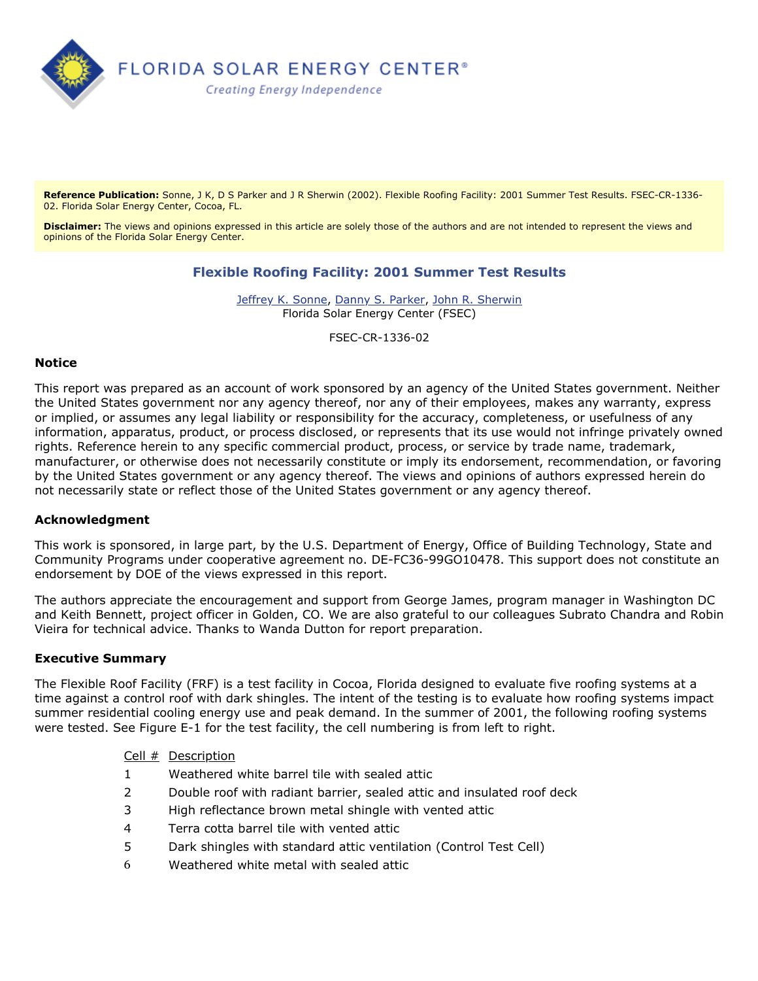

Reference Publication: Sonne, J K, D S Parker and J R Sherwin (2002). Flexible Roofing Facility: 2001 Summer Test Results. FSEC-CR-1336-02. Florida Solar Energy Center, Cocoa, FL.

**Disclaimer:** The views and opinions expressed in this article are solely those of the authors and are not intended to represent the views and opinions of the Florida Solar Energy Center.

# **Flexible Roofing Facility: 2001 Summer Test Results**

[Jeffrey K. Sonne](http://www.fsec.ucf.edu/contact.php?id=120), [Danny S. Parker,](http://www.fsec.ucf.edu/contact.php?id=95) [John R. Sherwin](http://www.fsec.ucf.edu/contact.php?id=116) Florida Solar Energy Center (FSEC)

FSEC-CR-1336-02

#### **Notice**

This report was prepared as an account of work sponsored by an agency of the United States government. Neither the United States government nor any agency thereof, nor any of their employees, makes any warranty, express or implied, or assumes any legal liability or responsibility for the accuracy, completeness, or usefulness of any information, apparatus, product, or process disclosed, or represents that its use would not infringe privately owned rights. Reference herein to any specific commercial product, process, or service by trade name, trademark, manufacturer, or otherwise does not necessarily constitute or imply its endorsement, recommendation, or favoring by the United States government or any agency thereof. The views and opinions of authors expressed herein do not necessarily state or reflect those of the United States government or any agency thereof.

#### **Acknowledgment**

This work is sponsored, in large part, by the U.S. Department of Energy, Office of Building Technology, State and Community Programs under cooperative agreement no. DE-FC36-99GO10478. This support does not constitute an endorsement by DOE of the views expressed in this report.

The authors appreciate the encouragement and support from George James, program manager in Washington DC and Keith Bennett, project officer in Golden, CO. We are also grateful to our colleagues Subrato Chandra and Robin Vieira for technical advice. Thanks to Wanda Dutton for report preparation.

#### **Executive Summary**

The Flexible Roof Facility (FRF) is a test facility in Cocoa, Florida designed to evaluate five roofing systems at a time against a control roof with dark shingles. The intent of the testing is to evaluate how roofing systems impact summer residential cooling energy use and peak demand. In the summer of 2001, the following roofing systems were tested. See Figure E-1 for the test facility, the cell numbering is from left to right.

#### Cell # Description

- 1 Weathered white barrel tile with sealed attic
- 2 Double roof with radiant barrier, sealed attic and insulated roof deck
- 3 High reflectance brown metal shingle with vented attic
- 4 Terra cotta barrel tile with vented attic
- 5 Dark shingles with standard attic ventilation (Control Test Cell)
- 6 Weathered white metal with sealed attic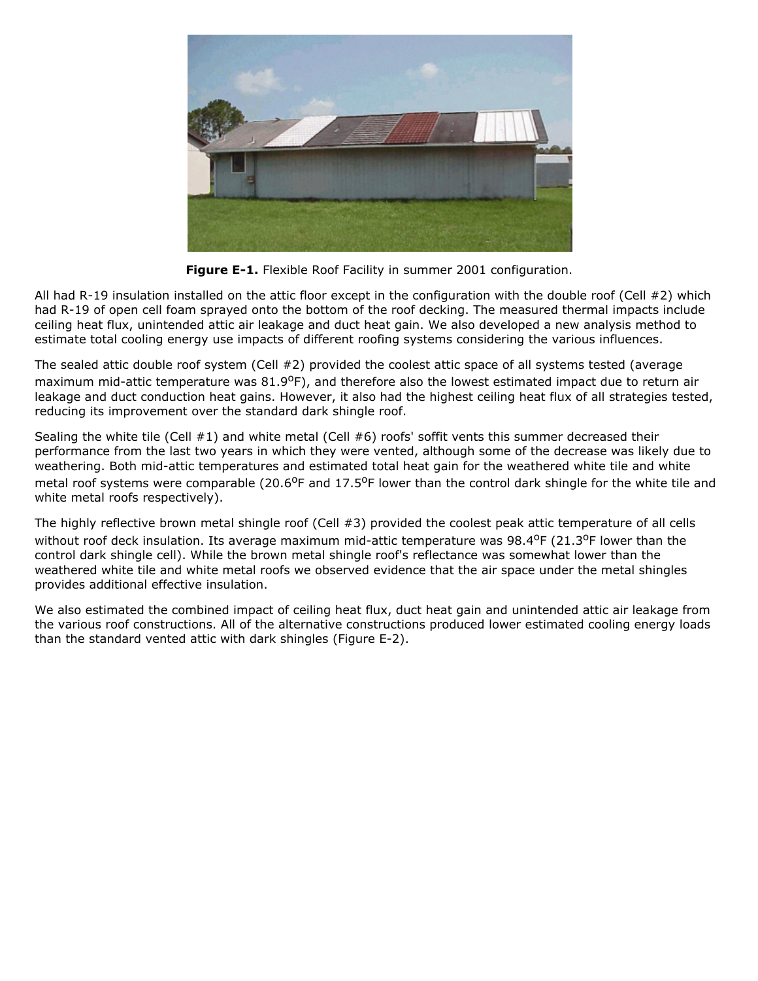

**Figure E-1.** Flexible Roof Facility in summer 2001 configuration.

All had R-19 insulation installed on the attic floor except in the configuration with the double roof (Cell  $#2$ ) which had R-19 of open cell foam sprayed onto the bottom of the roof decking. The measured thermal impacts include ceiling heat flux, unintended attic air leakage and duct heat gain. We also developed a new analysis method to estimate total cooling energy use impacts of different roofing systems considering the various influences.

The sealed attic double roof system (Cell #2) provided the coolest attic space of all systems tested (average maximum mid-attic temperature was 81.9<sup>o</sup>F), and therefore also the lowest estimated impact due to return air leakage and duct conduction heat gains. However, it also had the highest ceiling heat flux of all strategies tested, reducing its improvement over the standard dark shingle roof.

Sealing the white tile (Cell  $#1$ ) and white metal (Cell  $#6$ ) roofs' soffit vents this summer decreased their performance from the last two years in which they were vented, although some of the decrease was likely due to weathering. Both mid-attic temperatures and estimated total heat gain for the weathered white tile and white metal roof systems were comparable (20.6<sup>o</sup>F and 17.5<sup>o</sup>F lower than the control dark shingle for the white tile and white metal roofs respectively).

The highly reflective brown metal shingle roof (Cell #3) provided the coolest peak attic temperature of all cells without roof deck insulation. Its average maximum mid-attic temperature was  $98.4^{\circ}F(21.3^{\circ}F)$  lower than the control dark shingle cell). While the brown metal shingle roof's reflectance was somewhat lower than the weathered white tile and white metal roofs we observed evidence that the air space under the metal shingles provides additional effective insulation.

We also estimated the combined impact of ceiling heat flux, duct heat gain and unintended attic air leakage from the various roof constructions. All of the alternative constructions produced lower estimated cooling energy loads than the standard vented attic with dark shingles (Figure E-2).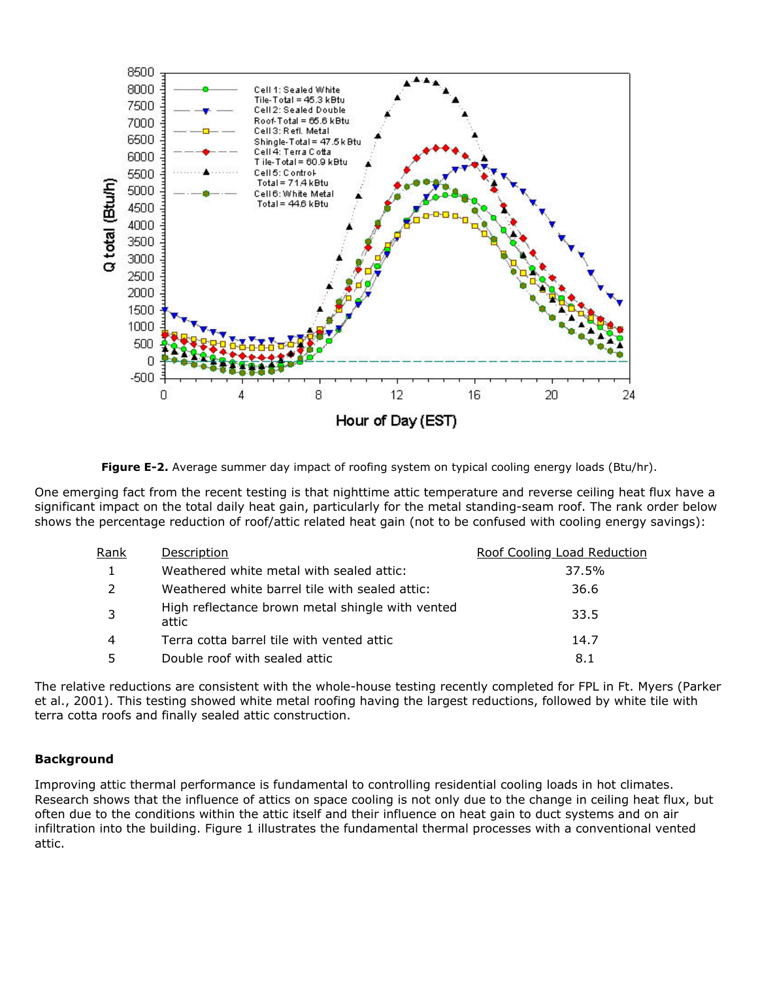

**Figure E-2.** Average summer day impact of roofing system on typical cooling energy loads (Btu/hr).

One emerging fact from the recent testing is that nighttime attic temperature and reverse ceiling heat flux have a significant impact on the total daily heat gain, particularly for the metal standing-seam roof. The rank order below shows the percentage reduction of roof/attic related heat gain (not to be confused with cooling energy savings):

| Rank          | Description                                               | Roof Cooling Load Reduction |
|---------------|-----------------------------------------------------------|-----------------------------|
|               | Weathered white metal with sealed attic:                  | 37.5%                       |
| $\mathcal{P}$ | Weathered white barrel tile with sealed attic:            | 36.6                        |
| -3            | High reflectance brown metal shingle with vented<br>attic | 33.5                        |
| 4             | Terra cotta barrel tile with vented attic                 | 14.7                        |
| 5             | Double roof with sealed attic                             | 8.1                         |

The relative reductions are consistent with the whole-house testing recently completed for FPL in Ft. Myers (Parker et al., 2001). This testing showed white metal roofing having the largest reductions, followed by white tile with terra cotta roofs and finally sealed attic construction.

#### **Background**

Improving attic thermal performance is fundamental to controlling residential cooling loads in hot climates. Research shows that the influence of attics on space cooling is not only due to the change in ceiling heat flux, but often due to the conditions within the attic itself and their influence on heat gain to duct systems and on air infiltration into the building. Figure 1 illustrates the fundamental thermal processes with a conventional vented attic.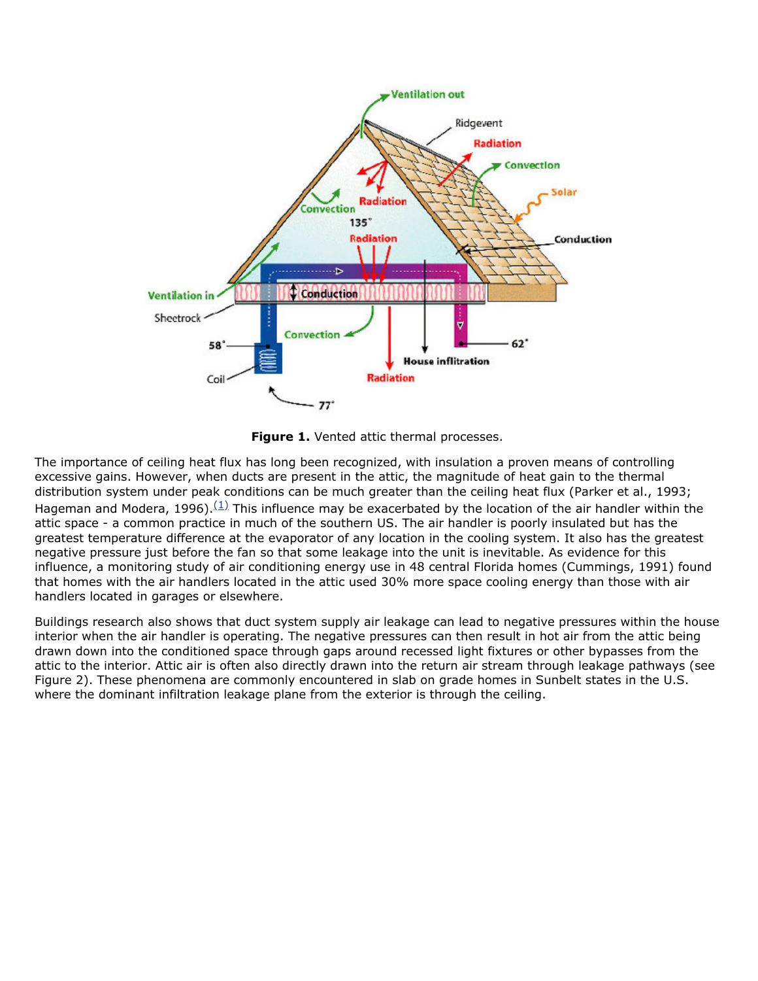

<span id="page-4-0"></span>**Figure 1.** Vented attic thermal processes.

The importance of ceiling heat flux has long been recognized, with insulation a proven means of controlling excessive gains. However, when ducts are present in the attic, the magnitude of heat gain to the thermal distribution system under peak conditions can be much greater than the ceiling heat flux (Parker et al., 1993; Hageman and Modera, 1996).  $(1)$  This influence may be exacerbated by the location of the air handler within the attic space - a common practice in much of the southern US. The air handler is poorly insulated but has the greatest temperature difference at the evaporator of any location in the cooling system. It also has the greatest negative pressure just before the fan so that some leakage into the unit is inevitable. As evidence for this influence, a monitoring study of air conditioning energy use in 48 central Florida homes (Cummings, 1991) found that homes with the air handlers located in the attic used 30% more space cooling energy than those with air handlers located in garages or elsewhere.

Buildings research also shows that duct system supply air leakage can lead to negative pressures within the house interior when the air handler is operating. The negative pressures can then result in hot air from the attic being drawn down into the conditioned space through gaps around recessed light fixtures or other bypasses from the attic to the interior. Attic air is often also directly drawn into the return air stream through leakage pathways (see Figure 2). These phenomena are commonly encountered in slab on grade homes in Sunbelt states in the U.S. where the dominant infiltration leakage plane from the exterior is through the ceiling.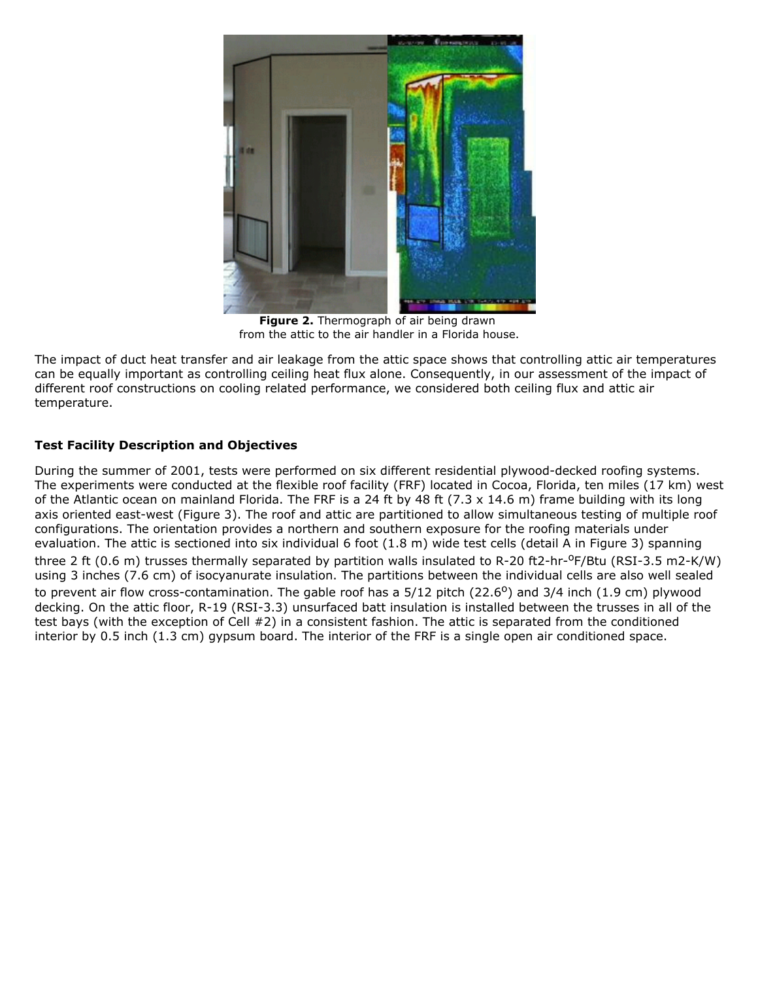

**Figure 2.** Thermograph of air being drawn from the attic to the air handler in a Florida house.

The impact of duct heat transfer and air leakage from the attic space shows that controlling attic air temperatures can be equally important as controlling ceiling heat flux alone. Consequently, in our assessment of the impact of different roof constructions on cooling related performance, we considered both ceiling flux and attic air temperature.

# **Test Facility Description and Objectives**

During the summer of 2001, tests were performed on six different residential plywood-decked roofing systems. The experiments were conducted at the flexible roof facility (FRF) located in Cocoa, Florida, ten miles (17 km) west of the Atlantic ocean on mainland Florida. The FRF is a 24 ft by 48 ft (7.3  $\times$  14.6 m) frame building with its long axis oriented east-west (Figure 3). The roof and attic are partitioned to allow simultaneous testing of multiple roof configurations. The orientation provides a northern and southern exposure for the roofing materials under evaluation. The attic is sectioned into six individual 6 foot (1.8 m) wide test cells (detail A in Figure 3) spanning three 2 ft (0.6 m) trusses thermally separated by partition walls insulated to R-20 ft2-hr- $^{\circ}$ F/Btu (RSI-3.5 m2-K/W) using 3 inches (7.6 cm) of isocyanurate insulation. The partitions between the individual cells are also well sealed to prevent air flow cross-contamination. The gable roof has a  $5/12$  pitch (22.6<sup>o</sup>) and 3/4 inch (1.9 cm) plywood decking. On the attic floor, R-19 (RSI-3.3) unsurfaced batt insulation is installed between the trusses in all of the test bays (with the exception of Cell #2) in a consistent fashion. The attic is separated from the conditioned interior by 0.5 inch (1.3 cm) gypsum board. The interior of the FRF is a single open air conditioned space.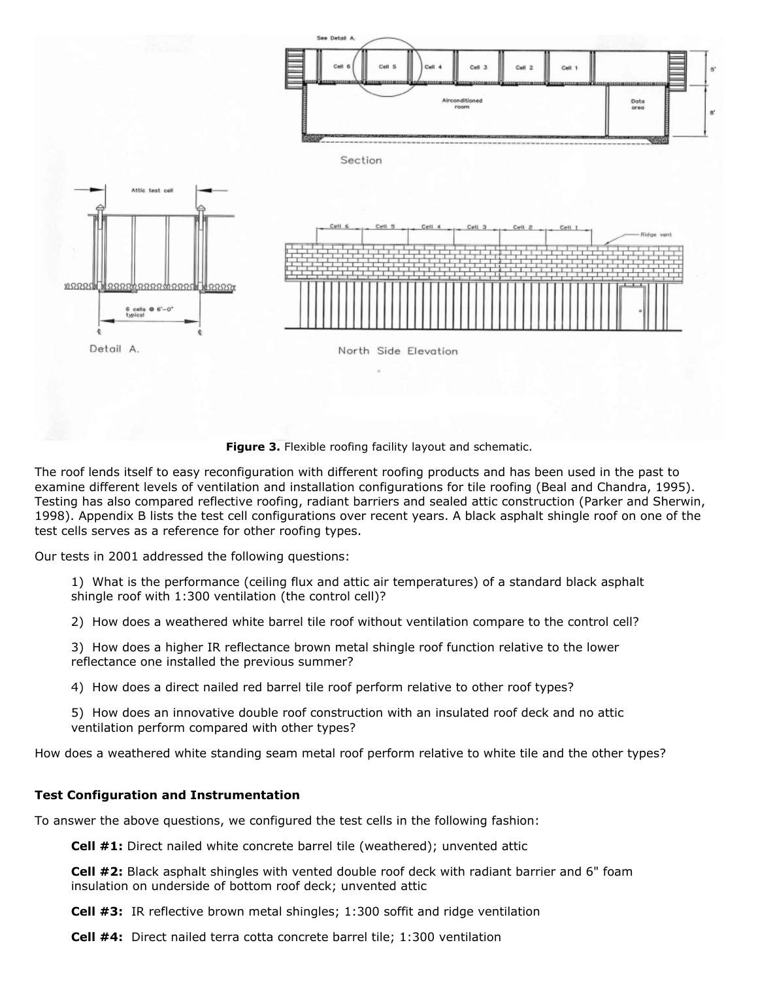

**Figure 3.** Flexible roofing facility layout and schematic.

The roof lends itself to easy reconfiguration with different roofing products and has been used in the past to examine different levels of ventilation and installation configurations for tile roofing (Beal and Chandra, 1995). Testing has also compared reflective roofing, radiant barriers and sealed attic construction (Parker and Sherwin, 1998). Appendix B lists the test cell configurations over recent years. A black asphalt shingle roof on one of the test cells serves as a reference for other roofing types.

Our tests in 2001 addressed the following questions:

1) What is the performance (ceiling flux and attic air temperatures) of a standard black asphalt shingle roof with 1:300 ventilation (the control cell)?

2) How does a weathered white barrel tile roof without ventilation compare to the control cell?

3) How does a higher IR reflectance brown metal shingle roof function relative to the lower reflectance one installed the previous summer?

4) How does a direct nailed red barrel tile roof perform relative to other roof types?

5) How does an innovative double roof construction with an insulated roof deck and no attic ventilation perform compared with other types?

How does a weathered white standing seam metal roof perform relative to white tile and the other types?

#### **Test Configuration and Instrumentation**

To answer the above questions, we configured the test cells in the following fashion:

**Cell #1:** Direct nailed white concrete barrel tile (weathered); unvented attic

**Cell #2:** Black asphalt shingles with vented double roof deck with radiant barrier and 6" foam insulation on underside of bottom roof deck; unvented attic

**Cell #3:** IR reflective brown metal shingles; 1:300 soffit and ridge ventilation

**Cell #4:** Direct nailed terra cotta concrete barrel tile; 1:300 ventilation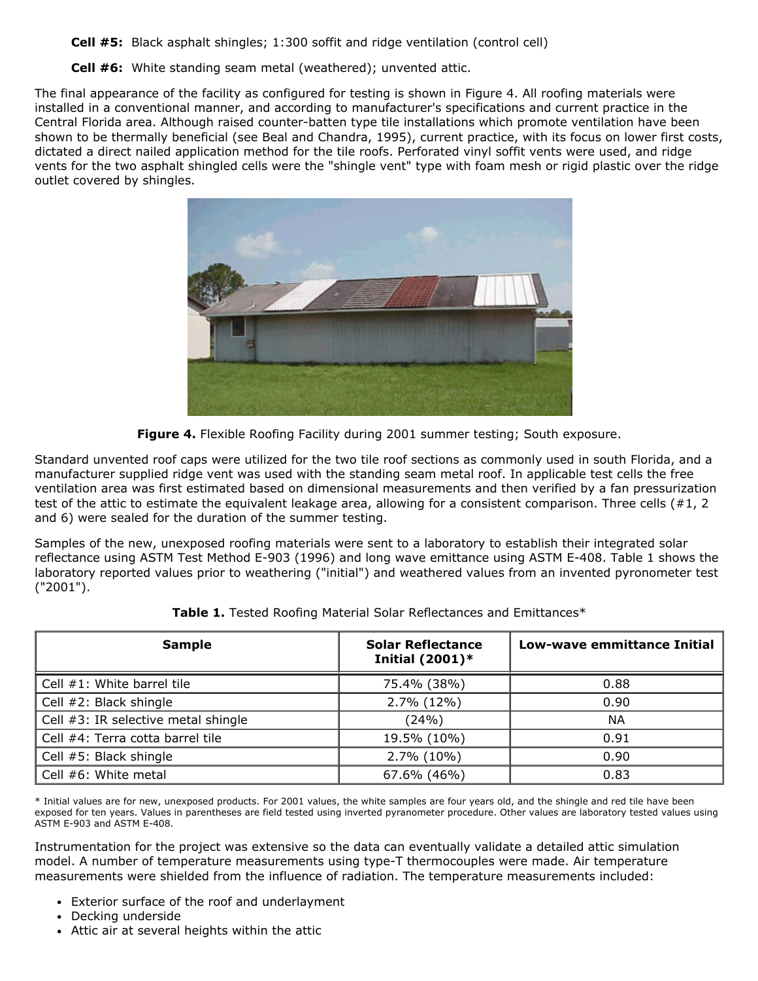**Cell #5:** Black asphalt shingles; 1:300 soffit and ridge ventilation (control cell)

**Cell #6:** White standing seam metal (weathered); unvented attic.

The final appearance of the facility as configured for testing is shown in Figure 4. All roofing materials were installed in a conventional manner, and according to manufacturer's specifications and current practice in the Central Florida area. Although raised counter-batten type tile installations which promote ventilation have been shown to be thermally beneficial (see Beal and Chandra, 1995), current practice, with its focus on lower first costs, dictated a direct nailed application method for the tile roofs. Perforated vinyl soffit vents were used, and ridge vents for the two asphalt shingled cells were the "shingle vent" type with foam mesh or rigid plastic over the ridge outlet covered by shingles.



**Figure 4.** Flexible Roofing Facility during 2001 summer testing; South exposure.

Standard unvented roof caps were utilized for the two tile roof sections as commonly used in south Florida, and a manufacturer supplied ridge vent was used with the standing seam metal roof. In applicable test cells the free ventilation area was first estimated based on dimensional measurements and then verified by a fan pressurization test of the attic to estimate the equivalent leakage area, allowing for a consistent comparison. Three cells (#1, 2 and 6) were sealed for the duration of the summer testing.

Samples of the new, unexposed roofing materials were sent to a laboratory to establish their integrated solar reflectance using ASTM Test Method E-903 (1996) and long wave emittance using ASTM E-408. Table 1 shows the laboratory reported values prior to weathering ("initial") and weathered values from an invented pyronometer test ("2001").

| <b>Sample</b>                       | <b>Solar Reflectance</b><br>Initial $(2001)^*$ | Low-wave emmittance Initial |  |
|-------------------------------------|------------------------------------------------|-----------------------------|--|
| Cell #1: White barrel tile          | 75.4% (38%)                                    | 0.88                        |  |
| Cell #2: Black shingle              | 2.7% (12%)                                     | 0.90                        |  |
| Cell #3: IR selective metal shingle | (24%)                                          | <b>NA</b>                   |  |
| Cell #4: Terra cotta barrel tile    | 19.5% (10%)                                    | 0.91                        |  |
| Cell #5: Black shingle              | 2.7% (10%)                                     | 0.90                        |  |
| Cell $#6$ : White metal             | 67.6% (46%)                                    | 0.83                        |  |

**Table 1.** Tested Roofing Material Solar Reflectances and Emittances\*

\* Initial values are for new, unexposed products. For 2001 values, the white samples are four years old, and the shingle and red tile have been exposed for ten years. Values in parentheses are field tested using inverted pyranometer procedure. Other values are laboratory tested values using ASTM E-903 and ASTM E-408.

Instrumentation for the project was extensive so the data can eventually validate a detailed attic simulation model. A number of temperature measurements using type-T thermocouples were made. Air temperature measurements were shielded from the influence of radiation. The temperature measurements included:

- Exterior surface of the roof and underlayment
- Decking underside
- Attic air at several heights within the attic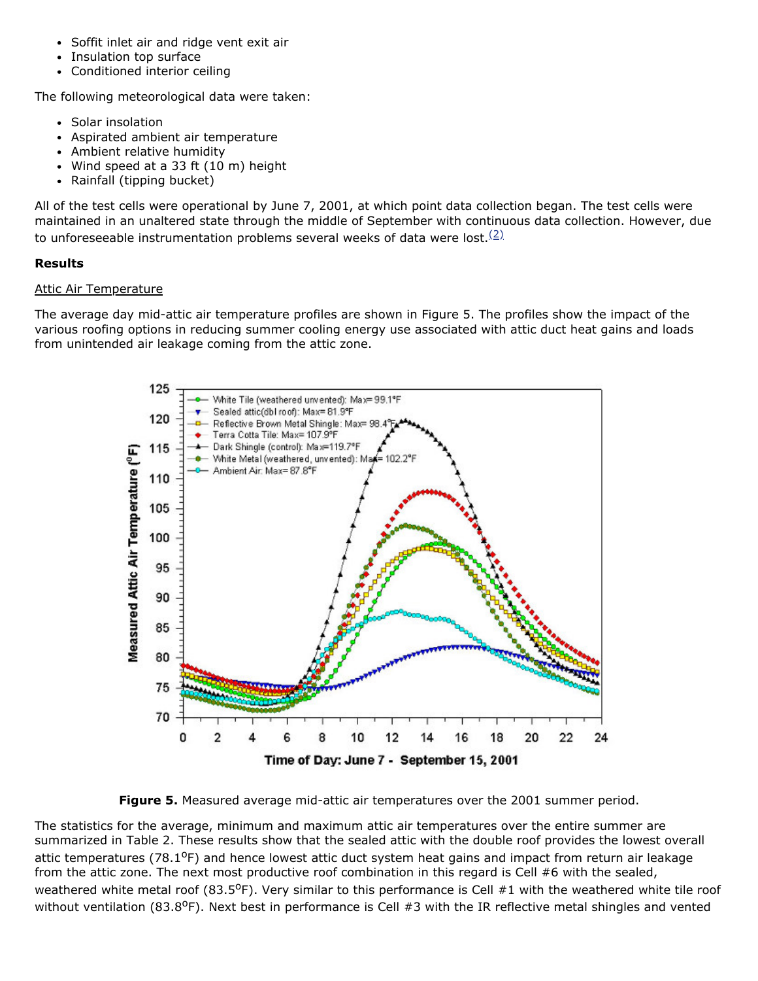- Soffit inlet air and ridge vent exit air
- Insulation top surface
- Conditioned interior ceiling

The following meteorological data were taken:

- Solar insolation
- Aspirated ambient air temperature
- Ambient relative humidity  $\bullet$
- Wind speed at a 33 ft (10 m) height
- Rainfall (tipping bucket)

All of the test cells were operational by June 7, 2001, at which point data collection began. The test cells were maintained in an unaltered state through the middle of September with continuous data collection. However, due to unforeseeable instrumentation problems several weeks of data were lost.<sup>[\(2\)](#page-17-1)</sup>

#### **Results**

#### Attic Air Temperature

The average day mid-attic air temperature profiles are shown in Figure 5. The profiles show the impact of the various roofing options in reducing summer cooling energy use associated with attic duct heat gains and loads from unintended air leakage coming from the attic zone.

<span id="page-8-0"></span>

**Figure 5.** Measured average mid-attic air temperatures over the 2001 summer period.

The statistics for the average, minimum and maximum attic air temperatures over the entire summer are summarized in Table 2. These results show that the sealed attic with the double roof provides the lowest overall attic temperatures (78.1<sup>o</sup>F) and hence lowest attic duct system heat gains and impact from return air leakage from the attic zone. The next most productive roof combination in this regard is Cell #6 with the sealed, weathered white metal roof (83.5 $^{\circ}$ F). Very similar to this performance is Cell #1 with the weathered white tile roof without ventilation (83.8<sup>o</sup>F). Next best in performance is Cell #3 with the IR reflective metal shingles and vented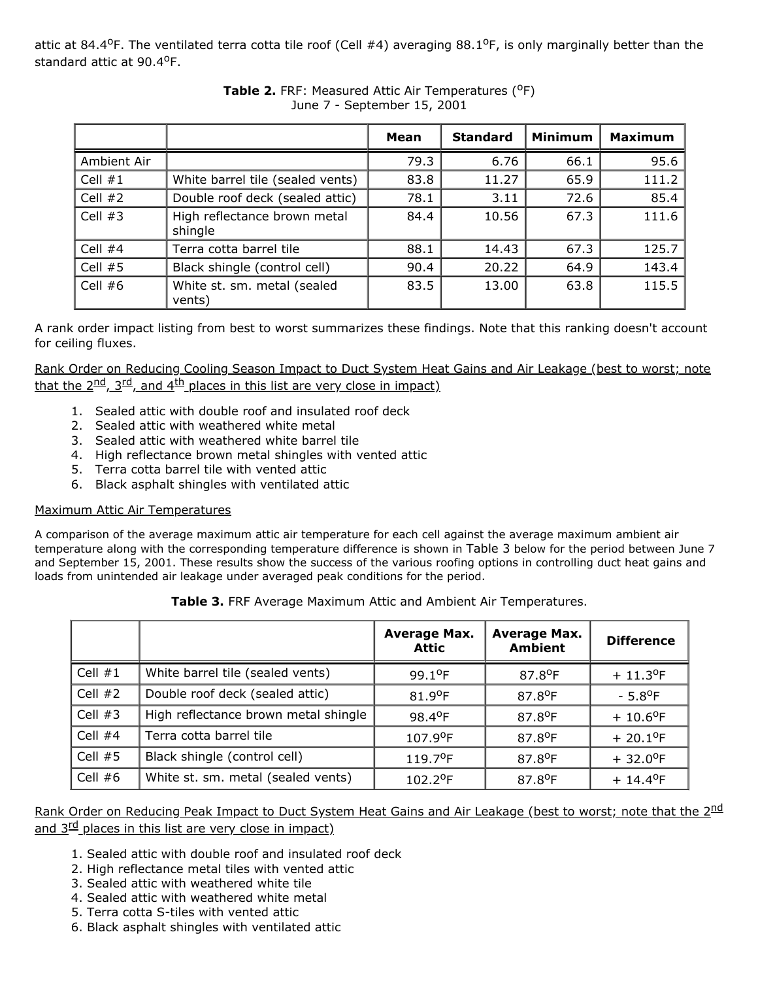attic at 84.4<sup>o</sup>F. The ventilated terra cotta tile roof (Cell #4) averaging 88.1<sup>o</sup>F, is only marginally better than the standard attic at 90.4°F.

|             |                                         | Mean | <b>Standard</b> | <b>Minimum</b> | <b>Maximum</b> |
|-------------|-----------------------------------------|------|-----------------|----------------|----------------|
| Ambient Air |                                         | 79.3 | 6.76            | 66.1           | 95.6           |
| Cell $#1$   | White barrel tile (sealed vents)        | 83.8 | 11.27           | 65.9           | 111.2          |
| Cell $#2$   | Double roof deck (sealed attic)         | 78.1 | 3.11            | 72.6           | 85.4           |
| Cell $#3$   | High reflectance brown metal<br>shingle | 84.4 | 10.56           | 67.3           | 111.6          |
| Cell $#4$   | Terra cotta barrel tile                 | 88.1 | 14.43           | 67.3           | 125.7          |
| Cell $#5$   | Black shingle (control cell)            | 90.4 | 20.22           | 64.9           | 143.4          |
| Cell $#6$   | White st. sm. metal (sealed<br>vents)   | 83.5 | 13.00           | 63.8           | 115.5          |

### **Table 2.** FRF: Measured Attic Air Temperatures (<sup>O</sup>F) June 7 - September 15, 2001

A rank order impact listing from best to worst summarizes these findings. Note that this ranking doesn't account for ceiling fluxes.

Rank Order on Reducing Cooling Season Impact to Duct System Heat Gains and Air Leakage (best to worst; note that the  $2^{nd}$ ,  $3^{rd}$ , and  $4^{th}$  places in this list are very close in impact)

- 1. Sealed attic with double roof and insulated roof deck
- 2. Sealed attic with weathered white metal
- 3. Sealed attic with weathered white barrel tile
- 4. High reflectance brown metal shingles with vented attic
- 5. Terra cotta barrel tile with vented attic
- 6. Black asphalt shingles with ventilated attic

# Maximum Attic Air Temperatures

A comparison of the average maximum attic air temperature for each cell against the average maximum ambient air temperature along with the corresponding temperature difference is shown in Table 3 below for the period between June 7 and September 15, 2001. These results show the success of the various roofing options in controlling duct heat gains and loads from unintended air leakage under averaged peak conditions for the period.

|           |                                      | <b>Average Max.</b><br><b>Attic</b> | <b>Average Max.</b><br><b>Ambient</b> | <b>Difference</b>       |
|-----------|--------------------------------------|-------------------------------------|---------------------------------------|-------------------------|
| Cell $#1$ | White barrel tile (sealed vents)     | 99.1°F                              | 87.8°F                                | $+11.3^{\circ}F$        |
| Cell $#2$ | Double roof deck (sealed attic)      | 81.9°F                              | 87.8°F                                | $-5.8$ <sup>o</sup> F   |
| Cell $#3$ | High reflectance brown metal shingle | 98.4°F                              | 87.8°F                                | $+ 10.6$ <sup>o</sup> F |
| Cell $#4$ | Terra cotta barrel tile              | 107.9°F                             | 87.8°F                                | $+20.1^{\circ}F$        |
| Cell $#5$ | Black shingle (control cell)         | 119.7°F                             | 87.8°F                                | $+32.0^{\circ}F$        |
| Cell $#6$ | White st. sm. metal (sealed vents)   | 102.2°F                             | 87.8°F                                | $+ 14.4$ <sup>o</sup> F |

Rank Order on Reducing Peak Impact to Duct System Heat Gains and Air Leakage (best to worst; note that the 2<sup>nd</sup> and 3<sup>rd</sup> places in this list are very close in impact)

- 1. Sealed attic with double roof and insulated roof deck
- 2. High reflectance metal tiles with vented attic
- 3. Sealed attic with weathered white tile
- 4. Sealed attic with weathered white metal
- 5. Terra cotta S-tiles with vented attic
- 6. Black asphalt shingles with ventilated attic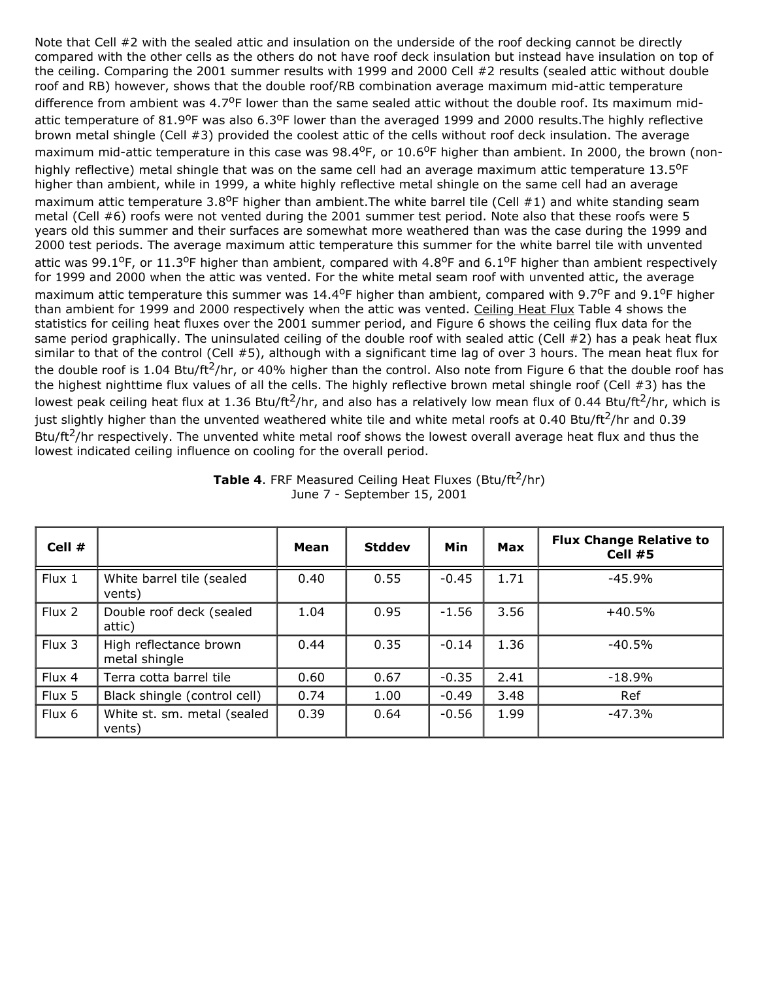Note that Cell #2 with the sealed attic and insulation on the underside of the roof decking cannot be directly compared with the other cells as the others do not have roof deck insulation but instead have insulation on top of the ceiling. Comparing the 2001 summer results with 1999 and 2000 Cell #2 results (sealed attic without double roof and RB) however, shows that the double roof/RB combination average maximum mid-attic temperature difference from ambient was 4.7°F lower than the same sealed attic without the double roof. Its maximum midattic temperature of  $81.9^{\circ}$ F was also  $6.3^{\circ}$ F lower than the averaged 1999 and 2000 results. The highly reflective brown metal shingle (Cell #3) provided the coolest attic of the cells without roof deck insulation. The average maximum mid-attic temperature in this case was 98.4<sup>o</sup>F, or 10.6<sup>o</sup>F higher than ambient. In 2000, the brown (nonhighly reflective) metal shingle that was on the same cell had an average maximum attic temperature  $13.5^{\circ}$ F higher than ambient, while in 1999, a white highly reflective metal shingle on the same cell had an average maximum attic temperature 3.8<sup>o</sup>F higher than ambient. The white barrel tile (Cell #1) and white standing seam metal (Cell #6) roofs were not vented during the 2001 summer test period. Note also that these roofs were 5 years old this summer and their surfaces are somewhat more weathered than was the case during the 1999 and 2000 test periods. The average maximum attic temperature this summer for the white barrel tile with unvented attic was 99.1<sup>o</sup>F, or 11.3<sup>o</sup>F higher than ambient, compared with 4.8<sup>o</sup>F and 6.1<sup>o</sup>F higher than ambient respectively for 1999 and 2000 when the attic was vented. For the white metal seam roof with unvented attic, the average maximum attic temperature this summer was  $14.4^{\circ}$ F higher than ambient, compared with 9.7°F and 9.1°F higher than ambient for 1999 and 2000 respectively when the attic was vented. Ceiling Heat Flux Table 4 shows the statistics for ceiling heat fluxes over the 2001 summer period, and Figure 6 shows the ceiling flux data for the same period graphically. The uninsulated ceiling of the double roof with sealed attic (Cell #2) has a peak heat flux similar to that of the control (Cell #5), although with a significant time lag of over 3 hours. The mean heat flux for the double roof is 1.04 Btu/ft<sup>2</sup>/hr, or 40% higher than the control. Also note from Figure 6 that the double roof has the highest nighttime flux values of all the cells. The highly reflective brown metal shingle roof (Cell #3) has the lowest peak ceiling heat flux at 1.36 Btu/ft<sup>2</sup>/hr, and also has a relatively low mean flux of 0.44 Btu/ft<sup>2</sup>/hr, which is just slightly higher than the unvented weathered white tile and white metal roofs at 0.40 Btu/ft<sup>2</sup>/hr and 0.39 Btu/ft<sup>2</sup>/hr respectively. The unvented white metal roof shows the lowest overall average heat flux and thus the lowest indicated ceiling influence on cooling for the overall period.

| Cell # |                                         | Mean | <b>Stddev</b> | Min     | Max  | <b>Flux Change Relative to</b><br>Cell #5 |
|--------|-----------------------------------------|------|---------------|---------|------|-------------------------------------------|
| Flux 1 | White barrel tile (sealed<br>vents)     | 0.40 | 0.55          | $-0.45$ | 1.71 | $-45.9%$                                  |
| Flux 2 | Double roof deck (sealed<br>attic)      | 1.04 | 0.95          | $-1.56$ | 3.56 | $+40.5%$                                  |
| Flux 3 | High reflectance brown<br>metal shingle | 0.44 | 0.35          | $-0.14$ | 1.36 | $-40.5%$                                  |
| Flux 4 | Terra cotta barrel tile                 | 0.60 | 0.67          | $-0.35$ | 2.41 | $-18.9%$                                  |
| Flux 5 | Black shingle (control cell)            | 0.74 | 1.00          | $-0.49$ | 3.48 | Ref                                       |
| Flux 6 | White st. sm. metal (sealed<br>vents)   | 0.39 | 0.64          | $-0.56$ | 1.99 | $-47.3%$                                  |

**Table 4. FRF Measured Ceiling Heat Fluxes (Btu/ft<sup>2</sup>/hr)** June 7 - September 15, 2001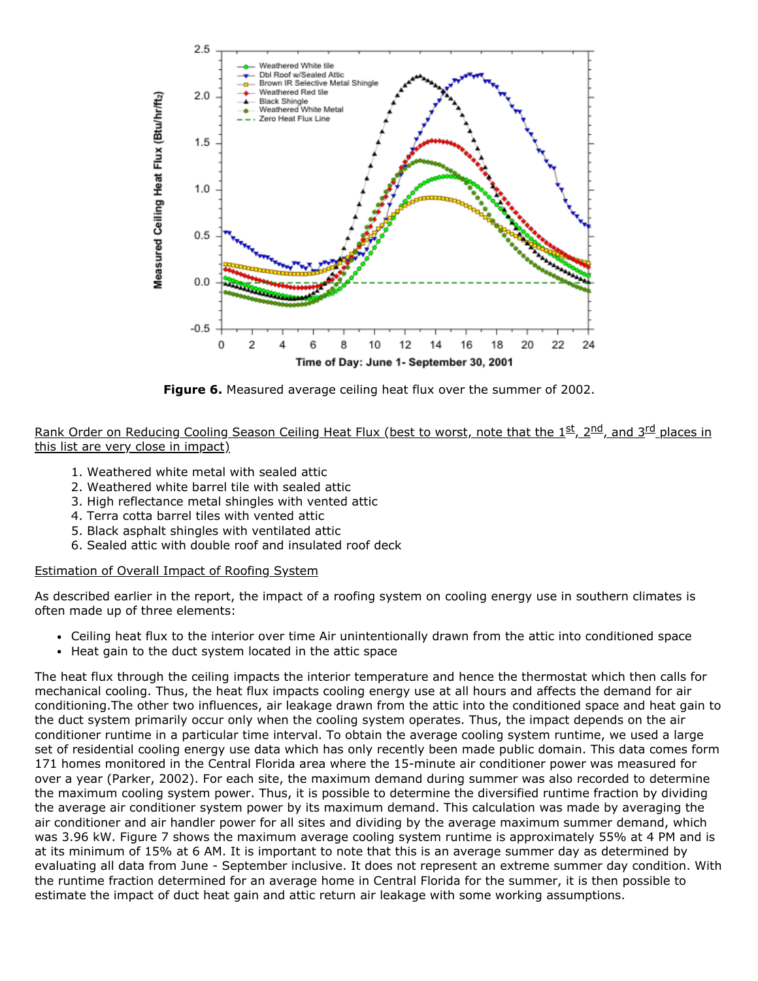

**Figure 6.** Measured average ceiling heat flux over the summer of 2002.

Rank Order on Reducing Cooling Season Ceiling Heat Flux (best to worst, note that the 1st, 2<sup>nd</sup>, and 3<sup>rd</sup> places in this list are very close in impact)

- 1. Weathered white metal with sealed attic
- 2. Weathered white barrel tile with sealed attic
- 3. High reflectance metal shingles with vented attic
- 4. Terra cotta barrel tiles with vented attic
- 5. Black asphalt shingles with ventilated attic
- 6. Sealed attic with double roof and insulated roof deck

#### Estimation of Overall Impact of Roofing System

As described earlier in the report, the impact of a roofing system on cooling energy use in southern climates is often made up of three elements:

- Ceiling heat flux to the interior over time Air unintentionally drawn from the attic into conditioned space
- Heat gain to the duct system located in the attic space

The heat flux through the ceiling impacts the interior temperature and hence the thermostat which then calls for mechanical cooling. Thus, the heat flux impacts cooling energy use at all hours and affects the demand for air conditioning.The other two influences, air leakage drawn from the attic into the conditioned space and heat gain to the duct system primarily occur only when the cooling system operates. Thus, the impact depends on the air conditioner runtime in a particular time interval. To obtain the average cooling system runtime, we used a large set of residential cooling energy use data which has only recently been made public domain. This data comes form 171 homes monitored in the Central Florida area where the 15-minute air conditioner power was measured for over a year (Parker, 2002). For each site, the maximum demand during summer was also recorded to determine the maximum cooling system power. Thus, it is possible to determine the diversified runtime fraction by dividing the average air conditioner system power by its maximum demand. This calculation was made by averaging the air conditioner and air handler power for all sites and dividing by the average maximum summer demand, which was 3.96 kW. Figure 7 shows the maximum average cooling system runtime is approximately 55% at 4 PM and is at its minimum of 15% at 6 AM. It is important to note that this is an average summer day as determined by evaluating all data from June - September inclusive. It does not represent an extreme summer day condition. With the runtime fraction determined for an average home in Central Florida for the summer, it is then possible to estimate the impact of duct heat gain and attic return air leakage with some working assumptions.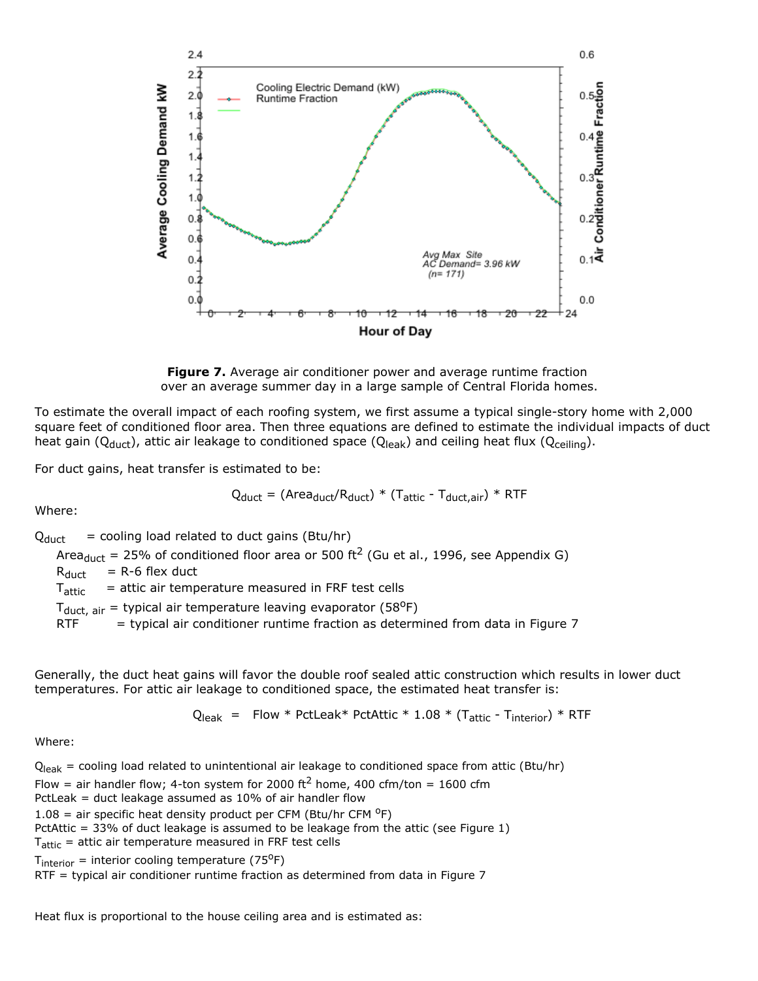

**Figure 7.** Average air conditioner power and average runtime fraction over an average summer day in a large sample of Central Florida homes.

To estimate the overall impact of each roofing system, we first assume a typical single-story home with 2,000 square feet of conditioned floor area. Then three equations are defined to estimate the individual impacts of duct heat gain ( $Q_{\text{duct}}$ ), attic air leakage to conditioned space ( $Q_{\text{leak}}$ ) and ceiling heat flux ( $Q_{\text{ceiling}}$ ).

For duct gains, heat transfer is estimated to be:

$$
Q_{\text{duct}} = (Area_{\text{duct}}/R_{\text{duct}}) * (T_{\text{attic}} - T_{\text{duct,air}}) * RTF
$$

Where:

 $Q_{\text{duct}}$  = cooling load related to duct gains (Btu/hr)

Area<sub>duct</sub> = 25% of conditioned floor area or 500 ft<sup>2</sup> (Gu et al., 1996, see Appendix G)

 $R_{\text{duct}}$  = R-6 flex duct

Tattic = attic air temperature measured in FRF test cells

 $T_{\text{duct, air}}$  = typical air temperature leaving evaporator (58<sup>o</sup>F)

RTF  $=$  typical air conditioner runtime fraction as determined from data in Figure 7

Generally, the duct heat gains will favor the double roof sealed attic construction which results in lower duct temperatures. For attic air leakage to conditioned space, the estimated heat transfer is:

 $Q_{\text{leak}}$  = Flow \* PctLeak\* PctAttic \* 1.08 \* (T<sub>attic</sub> - T<sub>interior</sub>) \* RTF

Where:

 $Q<sub>leak</sub> = cooling load related to unintentional air leakage to conditioned space from attr (Btu/hr)$ Flow = air handler flow; 4-ton system for 2000 ft<sup>2</sup> home, 400 cfm/ton = 1600 cfm PctLeak = duct leakage assumed as 10% of air handler flow 1.08 = air specific heat density product per CFM (Btu/hr CFM  $^{\circ}$ F) PctAttic = 33% of duct leakage is assumed to be leakage from the attic (see Figure 1)  $T_{\text{attr}}$  = attic air temperature measured in FRF test cells  $T_{interior}$  = interior cooling temperature (75<sup>o</sup>F) RTF = typical air conditioner runtime fraction as determined from data in Figure 7

Heat flux is proportional to the house ceiling area and is estimated as: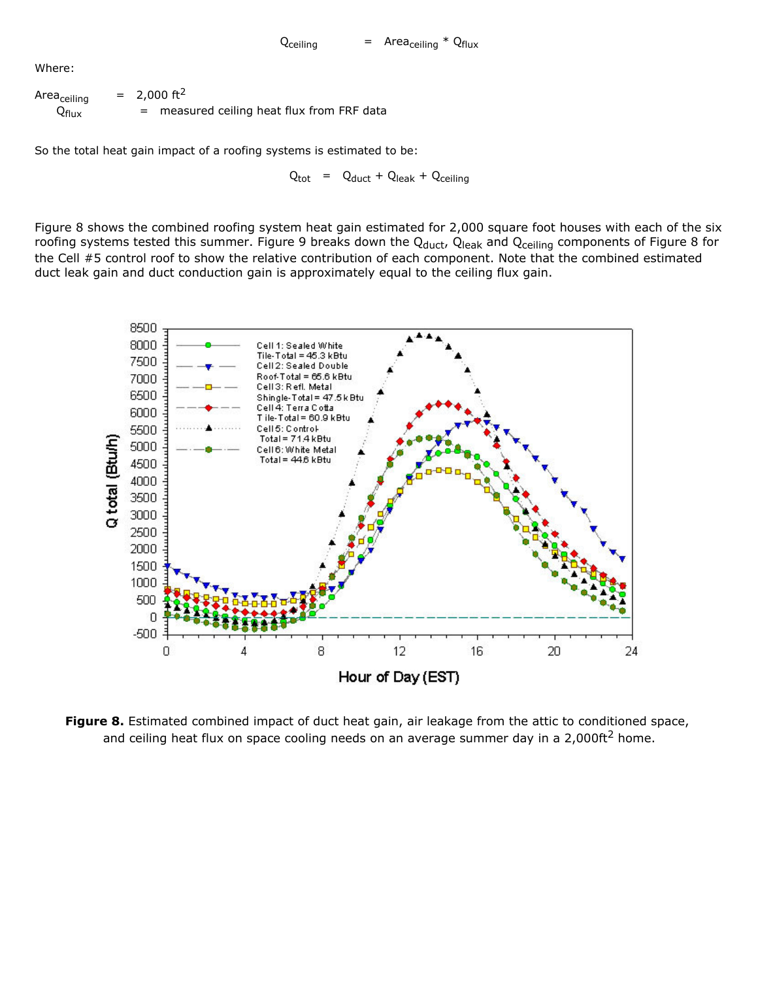Where:

| Area <sub>ceiling</sub> | $= 2,000 \text{ ft}^2$                     |
|-------------------------|--------------------------------------------|
| $Q_{\sf flux}$          | = measured ceiling heat flux from FRF data |

So the total heat gain impact of a roofing systems is estimated to be:

 $Q_{\text{tot}}$  =  $Q_{\text{duct}} + Q_{\text{leak}} + Q_{\text{ceiling}}$ 

Figure 8 shows the combined roofing system heat gain estimated for 2,000 square foot houses with each of the six roofing systems tested this summer. Figure 9 breaks down the  $Q_{duct}$ ,  $Q_{leak}$  and  $Q_{ceil}$  components of Figure 8 for the Cell #5 control roof to show the relative contribution of each component. Note that the combined estimated duct leak gain and duct conduction gain is approximately equal to the ceiling flux gain.



**Figure 8.** Estimated combined impact of duct heat gain, air leakage from the attic to conditioned space, and ceiling heat flux on space cooling needs on an average summer day in a 2,000ft<sup>2</sup> home.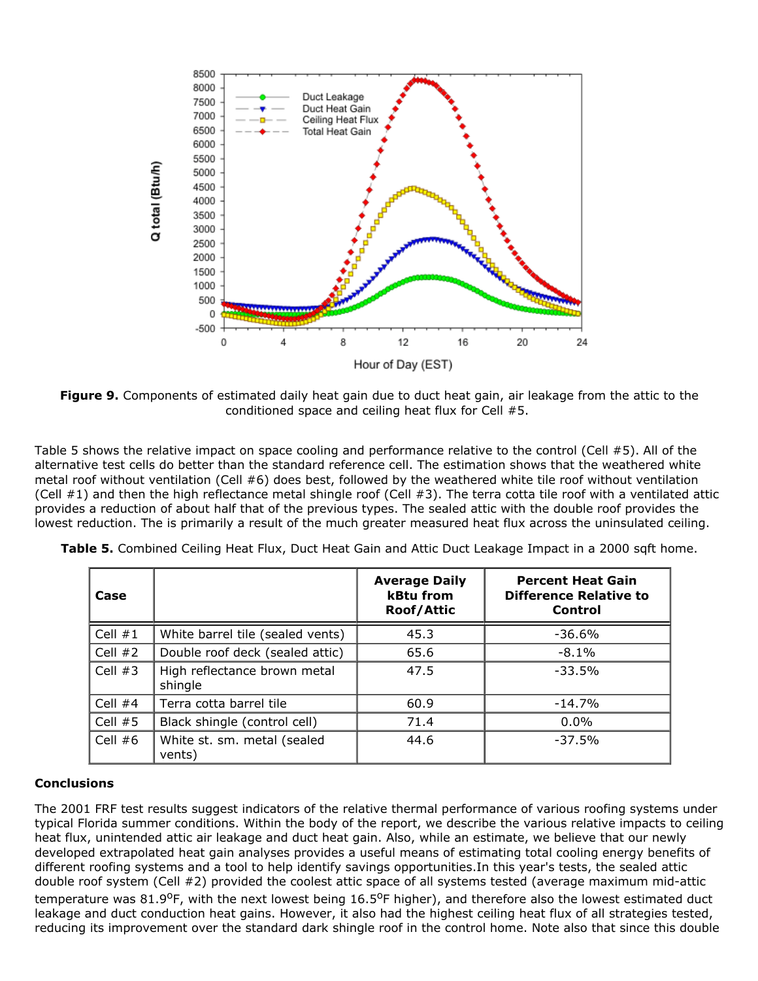

**Figure 9.** Components of estimated daily heat gain due to duct heat gain, air leakage from the attic to the conditioned space and ceiling heat flux for Cell #5.

Table 5 shows the relative impact on space cooling and performance relative to the control (Cell #5). All of the alternative test cells do better than the standard reference cell. The estimation shows that the weathered white metal roof without ventilation (Cell #6) does best, followed by the weathered white tile roof without ventilation (Cell  $#1$ ) and then the high reflectance metal shingle roof (Cell  $#3$ ). The terra cotta tile roof with a ventilated attic provides a reduction of about half that of the previous types. The sealed attic with the double roof provides the lowest reduction. The is primarily a result of the much greater measured heat flux across the uninsulated ceiling.

| Case      |                                         | <b>Average Daily</b><br><b>kBtu from</b><br><b>Roof/Attic</b> | <b>Percent Heat Gain</b><br><b>Difference Relative to</b><br>Control |  |
|-----------|-----------------------------------------|---------------------------------------------------------------|----------------------------------------------------------------------|--|
| Cell $#1$ | White barrel tile (sealed vents)        | 45.3                                                          | $-36.6%$                                                             |  |
| Cell $#2$ | Double roof deck (sealed attic)         | 65.6                                                          | $-8.1%$                                                              |  |
| Cell $#3$ | High reflectance brown metal<br>shingle | 47.5                                                          | $-33.5%$                                                             |  |
| Cell $#4$ | Terra cotta barrel tile                 | 60.9                                                          | $-14.7%$                                                             |  |
| Cell $#5$ | Black shingle (control cell)            | 71.4                                                          | $0.0\%$                                                              |  |
| Cell $#6$ | White st. sm. metal (sealed<br>vents)   | 44.6                                                          | $-37.5%$                                                             |  |

**Table 5.** Combined Ceiling Heat Flux, Duct Heat Gain and Attic Duct Leakage Impact in a 2000 sqft home.

#### **Conclusions**

The 2001 FRF test results suggest indicators of the relative thermal performance of various roofing systems under typical Florida summer conditions. Within the body of the report, we describe the various relative impacts to ceiling heat flux, unintended attic air leakage and duct heat gain. Also, while an estimate, we believe that our newly developed extrapolated heat gain analyses provides a useful means of estimating total cooling energy benefits of different roofing systems and a tool to help identify savings opportunities.In this year's tests, the sealed attic double roof system (Cell #2) provided the coolest attic space of all systems tested (average maximum mid-attic temperature was 81.9<sup>o</sup>F, with the next lowest being 16.5<sup>o</sup>F higher), and therefore also the lowest estimated duct leakage and duct conduction heat gains. However, it also had the highest ceiling heat flux of all strategies tested, reducing its improvement over the standard dark shingle roof in the control home. Note also that since this double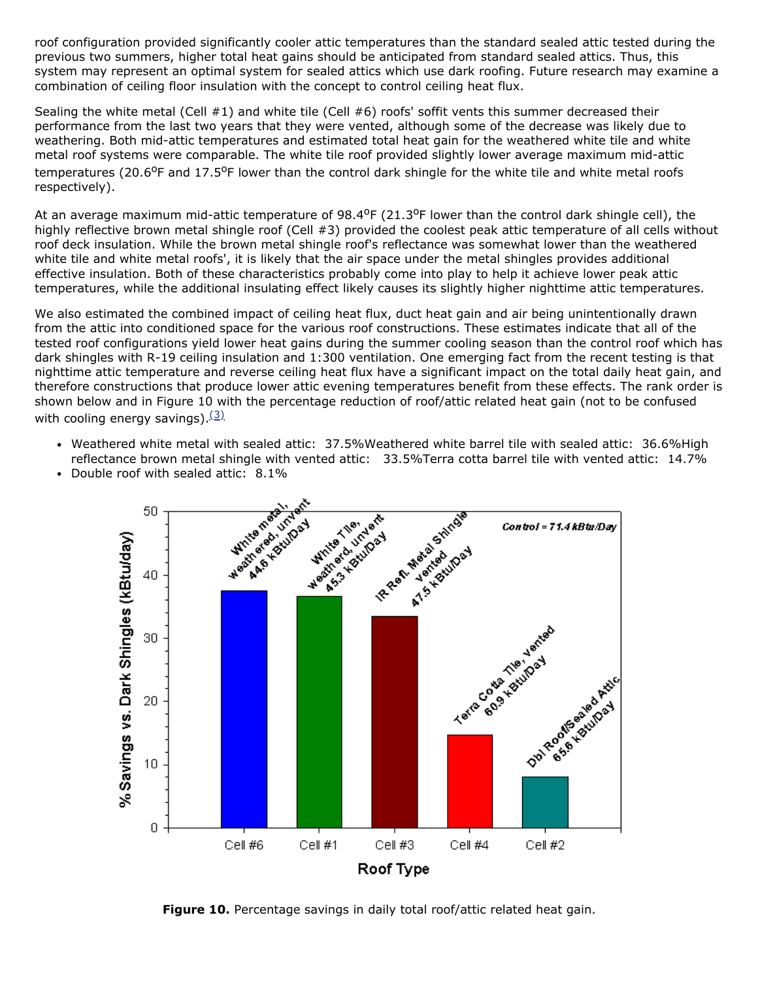roof configuration provided significantly cooler attic temperatures than the standard sealed attic tested during the previous two summers, higher total heat gains should be anticipated from standard sealed attics. Thus, this system may represent an optimal system for sealed attics which use dark roofing. Future research may examine a combination of ceiling floor insulation with the concept to control ceiling heat flux.

Sealing the white metal (Cell #1) and white tile (Cell #6) roofs' soffit vents this summer decreased their performance from the last two years that they were vented, although some of the decrease was likely due to weathering. Both mid-attic temperatures and estimated total heat gain for the weathered white tile and white metal roof systems were comparable. The white tile roof provided slightly lower average maximum mid-attic temperatures (20.6<sup>o</sup>F and 17.5<sup>o</sup>F lower than the control dark shingle for the white tile and white metal roofs respectively).

At an average maximum mid-attic temperature of  $98.4^{\circ}F(21.3^{\circ}F)$  lower than the control dark shingle cell), the highly reflective brown metal shingle roof (Cell #3) provided the coolest peak attic temperature of all cells without roof deck insulation. While the brown metal shingle roof's reflectance was somewhat lower than the weathered white tile and white metal roofs', it is likely that the air space under the metal shingles provides additional effective insulation. Both of these characteristics probably come into play to help it achieve lower peak attic temperatures, while the additional insulating effect likely causes its slightly higher nighttime attic temperatures.

We also estimated the combined impact of ceiling heat flux, duct heat gain and air being unintentionally drawn from the attic into conditioned space for the various roof constructions. These estimates indicate that all of the tested roof configurations yield lower heat gains during the summer cooling season than the control roof which has dark shingles with R-19 ceiling insulation and 1:300 ventilation. One emerging fact from the recent testing is that nighttime attic temperature and reverse ceiling heat flux have a significant impact on the total daily heat gain, and therefore constructions that produce lower attic evening temperatures benefit from these effects. The rank order is shown below and in Figure 10 with the percentage reduction of roof/attic related heat gain (not to be confused with cooling energy savings).  $(3)$ 

Weathered white metal with sealed attic: 37.5%Weathered white barrel tile with sealed attic: 36.6%High reflectance brown metal shingle with vented attic: 33.5%Terra cotta barrel tile with vented attic: 14.7%

<span id="page-15-0"></span>

• Double roof with sealed attic: 8.1%

**Figure 10.** Percentage savings in daily total roof/attic related heat gain.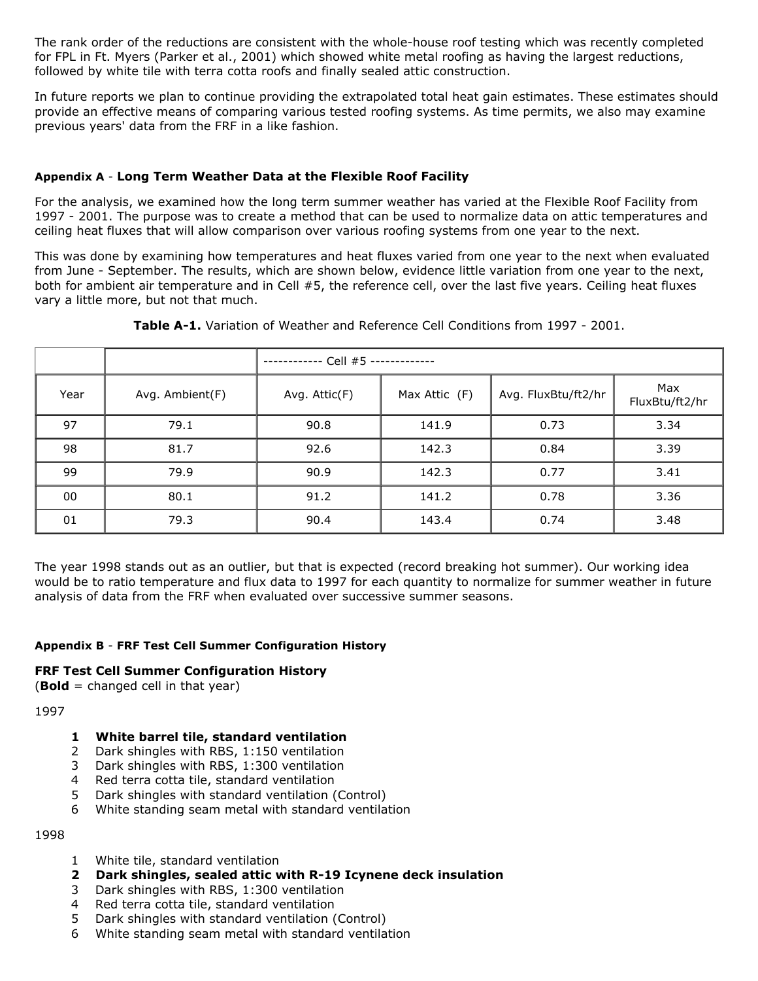The rank order of the reductions are consistent with the whole-house roof testing which was recently completed for FPL in Ft. Myers (Parker et al., 2001) which showed white metal roofing as having the largest reductions, followed by white tile with terra cotta roofs and finally sealed attic construction.

In future reports we plan to continue providing the extrapolated total heat gain estimates. These estimates should provide an effective means of comparing various tested roofing systems. As time permits, we also may examine previous years' data from the FRF in a like fashion.

#### **Appendix A Long Term Weather Data at the Flexible Roof Facility**

For the analysis, we examined how the long term summer weather has varied at the Flexible Roof Facility from 1997 2001. The purpose was to create a method that can be used to normalize data on attic temperatures and ceiling heat fluxes that will allow comparison over various roofing systems from one year to the next.

This was done by examining how temperatures and heat fluxes varied from one year to the next when evaluated from June - September. The results, which are shown below, evidence little variation from one year to the next, both for ambient air temperature and in Cell #5, the reference cell, over the last five years. Ceiling heat fluxes vary a little more, but not that much.

|      |                 | - Cell #5 ------------- |               |                     |                       |  |
|------|-----------------|-------------------------|---------------|---------------------|-----------------------|--|
| Year | Avg. Ambient(F) | Avg. Attic(F)           | Max Attic (F) | Avg. FluxBtu/ft2/hr | Max<br>FluxBtu/ft2/hr |  |
| 97   | 79.1            | 90.8                    | 141.9         | 0.73                | 3.34                  |  |
| 98   | 81.7            | 92.6                    | 142.3         | 0.84                | 3.39                  |  |
| 99   | 79.9            | 90.9                    | 142.3         | 0.77                | 3.41                  |  |
| 00   | 80.1            | 91.2                    | 141.2         | 0.78                | 3.36                  |  |
| 01   | 79.3            | 90.4                    | 143.4         | 0.74                | 3.48                  |  |

**Table A-1.** Variation of Weather and Reference Cell Conditions from 1997 - 2001.

The year 1998 stands out as an outlier, but that is expected (record breaking hot summer). Our working idea would be to ratio temperature and flux data to 1997 for each quantity to normalize for summer weather in future analysis of data from the FRF when evaluated over successive summer seasons.

#### **Appendix B FRF Test Cell Summer Configuration History**

#### **FRF Test Cell Summer Configuration History**

(**Bold** = changed cell in that year)

#### 1997

- **1 White barrel tile, standard ventilation**
- 2 Dark shingles with RBS, 1:150 ventilation
- 3 Dark shingles with RBS, 1:300 ventilation
- 4 Red terra cotta tile, standard ventilation
- 5 Dark shingles with standard ventilation (Control)
- 6 White standing seam metal with standard ventilation

1998

- 1 White tile, standard ventilation
- **2 Dark shingles, sealed attic with R19 Icynene deck insulation**
- 3 Dark shingles with RBS, 1:300 ventilation
- 4 Red terra cotta tile, standard ventilation
- 5 Dark shingles with standard ventilation (Control)
- 6 White standing seam metal with standard ventilation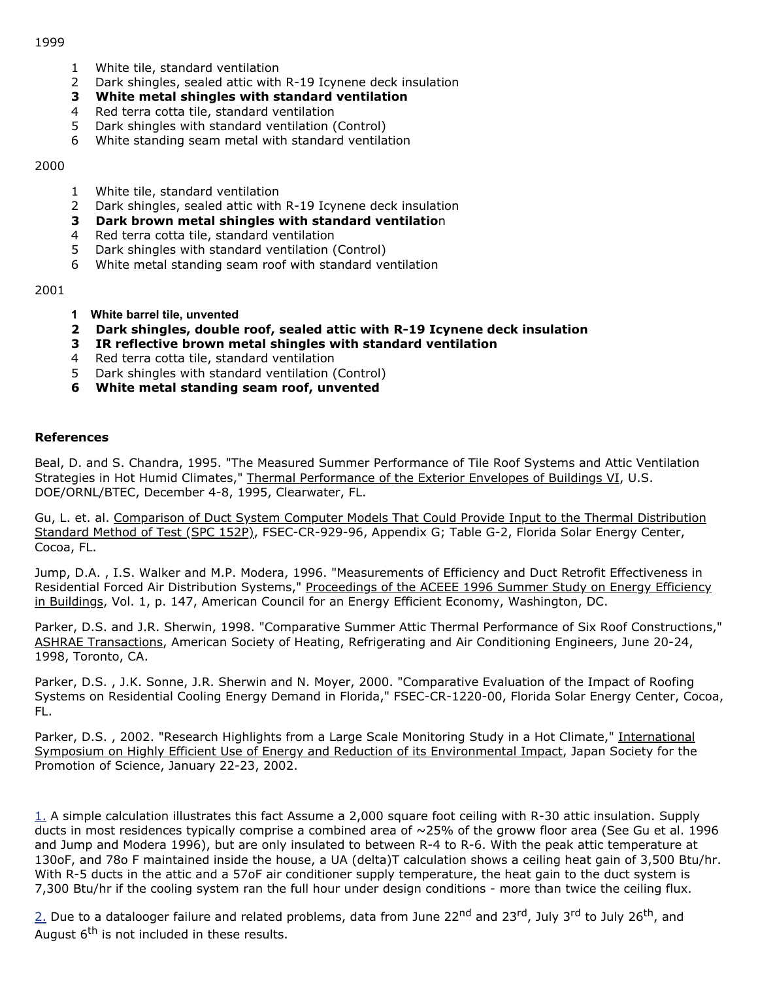- 1 White tile, standard ventilation
- 2 Dark shingles, sealed attic with R-19 Icynene deck insulation
- **3 White metal shingles with standard ventilation**
- 4 Red terra cotta tile, standard ventilation
- 5 Dark shingles with standard ventilation (Control)
- 6 White standing seam metal with standard ventilation

2000

- 1 White tile, standard ventilation
- 2 Dark shingles, sealed attic with R-19 Icynene deck insulation
- **3 Dark brown metal shingles with standard ventilatio**n
- 4 Red terra cotta tile, standard ventilation
- 5 Dark shingles with standard ventilation (Control)
- 6 White metal standing seam roof with standard ventilation

2001

- **1 White barrel tile, unvented**
- **2 Dark shingles, double roof, sealed attic with R19 Icynene deck insulation**
- **3 IR reflective brown metal shingles with standard ventilation**
- 4 Red terra cotta tile, standard ventilation
- 5 Dark shingles with standard ventilation (Control)
- **6 White metal standing seam roof, unvented**

#### **References**

Beal, D. and S. Chandra, 1995. "The Measured Summer Performance of Tile Roof Systems and Attic Ventilation Strategies in Hot Humid Climates," Thermal Performance of the Exterior Envelopes of Buildings VI, U.S. DOE/ORNL/BTEC, December 4-8, 1995, Clearwater, FL.

Gu, L. et. al. Comparison of Duct System Computer Models That Could Provide Input to the Thermal Distribution Standard Method of Test (SPC 152P), FSEC-CR-929-96, Appendix G; Table G-2, Florida Solar Energy Center, Cocoa, FL.

Jump, D.A. , I.S. Walker and M.P. Modera, 1996. "Measurements of Efficiency and Duct Retrofit Effectiveness in Residential Forced Air Distribution Systems," Proceedings of the ACEEE 1996 Summer Study on Energy Efficiency in Buildings, Vol. 1, p. 147, American Council for an Energy Efficient Economy, Washington, DC.

Parker, D.S. and J.R. Sherwin, 1998. "Comparative Summer Attic Thermal Performance of Six Roof Constructions," ASHRAE Transactions, American Society of Heating, Refrigerating and Air Conditioning Engineers, June 20-24, 1998, Toronto, CA.

Parker, D.S. , J.K. Sonne, J.R. Sherwin and N. Moyer, 2000. "Comparative Evaluation of the Impact of Roofing Systems on Residential Cooling Energy Demand in Florida," FSEC-CR-1220-00, Florida Solar Energy Center, Cocoa, FL.

Parker, D.S., 2002. "Research Highlights from a Large Scale Monitoring Study in a Hot Climate," International Symposium on Highly Efficient Use of Energy and Reduction of its Environmental Impact, Japan Society for the Promotion of Science, January 22-23, 2002.

<span id="page-17-0"></span> $1.$  A simple calculation illustrates this fact Assume a 2,000 square foot ceiling with R-30 attic insulation. Supply ducts in most residences typically comprise a combined area of ~25% of the groww floor area (See Gu et al. 1996 and Jump and Modera 1996), but are only insulated to between R-4 to R-6. With the peak attic temperature at 130oF, and 78o F maintained inside the house, a UA (delta)T calculation shows a ceiling heat gain of 3,500 Btu/hr. With R-5 ducts in the attic and a 57oF air conditioner supply temperature, the heat gain to the duct system is 7,300 Btu/hr if the cooling system ran the full hour under design conditions - more than twice the ceiling flux.

<span id="page-17-1"></span>[2.](#page-8-0) Due to a datalooger failure and related problems, data from June 22<sup>nd</sup> and 23<sup>rd</sup>, July 3<sup>rd</sup> to July 26<sup>th</sup>, and August  $6<sup>th</sup>$  is not included in these results.